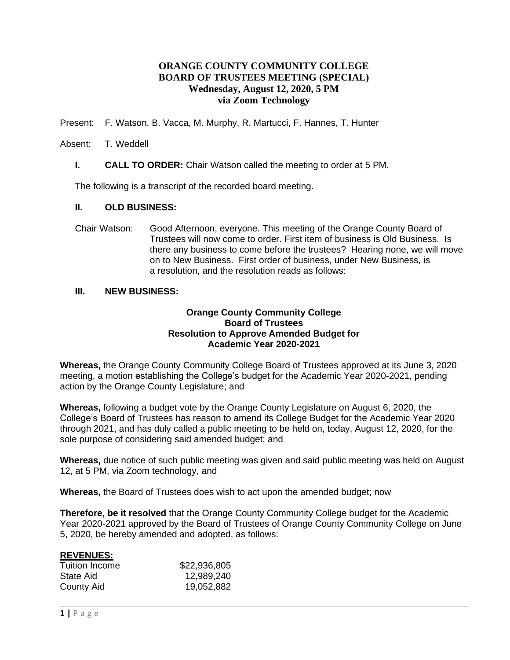# **ORANGE COUNTY COMMUNITY COLLEGE BOARD OF TRUSTEES MEETING (SPECIAL) Wednesday, August 12, 2020, 5 PM via Zoom Technology**

Present: F. Watson, B. Vacca, M. Murphy, R. Martucci, F. Hannes, T. Hunter

#### Absent: T. Weddell

**I. CALL TO ORDER:** Chair Watson called the meeting to order at 5 PM.

The following is a transcript of the recorded board meeting.

#### **II. OLD BUSINESS:**

Chair Watson: Good Afternoon, everyone. This meeting of the Orange County Board of Trustees will now come to order. First item of business is Old Business. Is there any business to come before the trustees? Hearing none, we will move on to New Business. First order of business, under New Business, is a resolution, and the resolution reads as follows:

#### **III. NEW BUSINESS:**

## **Orange County Community College Board of Trustees Resolution to Approve Amended Budget for Academic Year 2020-2021**

**Whereas,** the Orange County Community College Board of Trustees approved at its June 3, 2020 meeting, a motion establishing the College's budget for the Academic Year 2020-2021, pending action by the Orange County Legislature; and

**Whereas,** following a budget vote by the Orange County Legislature on August 6, 2020, the College's Board of Trustees has reason to amend its College Budget for the Academic Year 2020 through 2021, and has duly called a public meeting to be held on, today, August 12, 2020, for the sole purpose of considering said amended budget; and

**Whereas,** due notice of such public meeting was given and said public meeting was held on August 12, at 5 PM, via Zoom technology, and

**Whereas,** the Board of Trustees does wish to act upon the amended budget; now

**Therefore, be it resolved** that the Orange County Community College budget for the Academic Year 2020-2021 approved by the Board of Trustees of Orange County Community College on June 5, 2020, be hereby amended and adopted, as follows:

## **REVENUES:**

| Tuition Income | \$22,936,805 |
|----------------|--------------|
| State Aid      | 12,989,240   |
| County Aid     | 19,052,882   |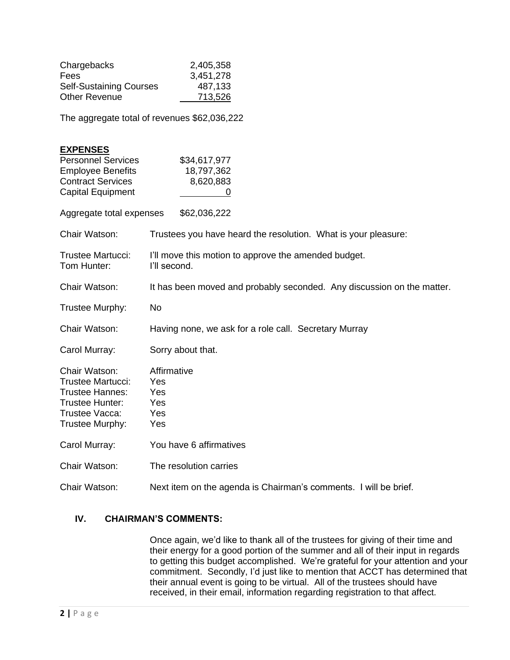| Chargebacks                    | 2,405,358 |
|--------------------------------|-----------|
| Fees                           | 3,451,278 |
| <b>Self-Sustaining Courses</b> | 487,133   |
| <b>Other Revenue</b>           | 713,526   |

The aggregate total of revenues \$62,036,222

| <b>EXPENSES</b><br><b>Personnel Services</b><br><b>Employee Benefits</b><br><b>Contract Services</b><br><b>Capital Equipment</b> | \$34,617,977<br>18,797,362<br>8,620,883                                |  |
|----------------------------------------------------------------------------------------------------------------------------------|------------------------------------------------------------------------|--|
| Aggregate total expenses                                                                                                         | \$62,036,222                                                           |  |
| Chair Watson:                                                                                                                    | Trustees you have heard the resolution. What is your pleasure:         |  |
| Trustee Martucci:<br>Tom Hunter:                                                                                                 | I'll move this motion to approve the amended budget.<br>I'll second.   |  |
| Chair Watson:                                                                                                                    | It has been moved and probably seconded. Any discussion on the matter. |  |
| Trustee Murphy:                                                                                                                  | No                                                                     |  |
| Chair Watson:                                                                                                                    | Having none, we ask for a role call. Secretary Murray                  |  |
| Carol Murray:                                                                                                                    | Sorry about that.                                                      |  |
| Chair Watson:<br><b>Trustee Martucci:</b><br>Trustee Hannes:<br>Trustee Hunter:<br>Trustee Vacca:<br>Trustee Murphy:             | Affirmative<br>Yes<br>Yes<br>Yes<br>Yes<br>Yes                         |  |
| Carol Murray:                                                                                                                    | You have 6 affirmatives                                                |  |
| Chair Watson:                                                                                                                    | The resolution carries                                                 |  |
| Chair Watson:                                                                                                                    | Next item on the agenda is Chairman's comments. I will be brief.       |  |

## **IV. CHAIRMAN'S COMMENTS:**

Once again, we'd like to thank all of the trustees for giving of their time and their energy for a good portion of the summer and all of their input in regards to getting this budget accomplished. We're grateful for your attention and your commitment. Secondly, I'd just like to mention that ACCT has determined that their annual event is going to be virtual. All of the trustees should have received, in their email, information regarding registration to that affect.